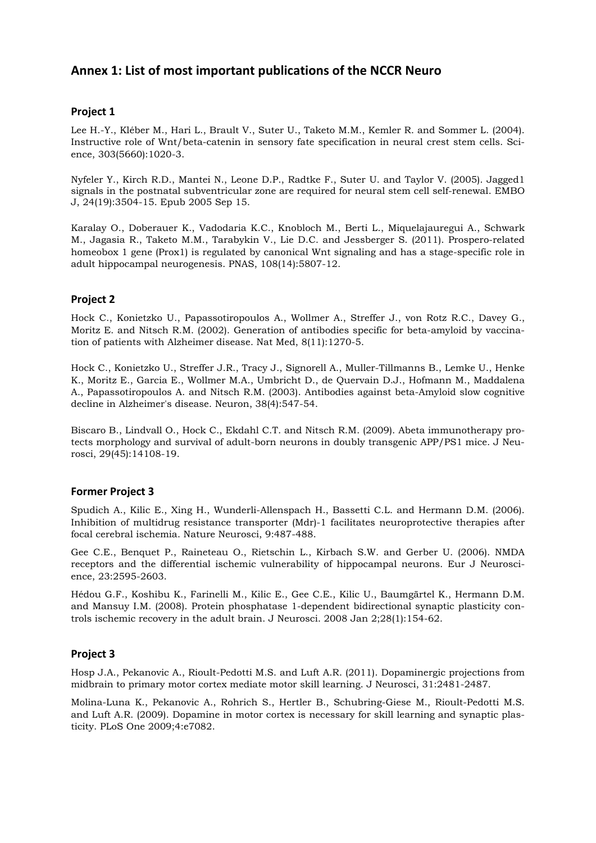# **Annex 1: List of most important publications of the NCCR Neuro**

#### **Project 1**

Lee H.-Y., Kléber M., Hari L., Brault V., Suter U., Taketo M.M., Kemler R. and Sommer L. (2004). Instructive role of Wnt/beta-catenin in sensory fate specification in neural crest stem cells. Science, 303(5660):1020-3.

Nyfeler Y., Kirch R.D., Mantei N., Leone D.P., Radtke F., Suter U. and Taylor V. (2005). Jagged1 signals in the postnatal subventricular zone are required for neural stem cell self-renewal. EMBO J, 24(19):3504-15. Epub 2005 Sep 15.

Karalay O., Doberauer K., Vadodaria K.C., Knobloch M., Berti L., Miquelajauregui A., Schwark M., Jagasia R., Taketo M.M., Tarabykin V., Lie D.C. and Jessberger S. (2011). Prospero-related homeobox 1 gene (Prox1) is regulated by canonical Wnt signaling and has a stage-specific role in adult hippocampal neurogenesis. PNAS, 108(14):5807-12.

## **Project 2**

Hock C., Konietzko U., Papassotiropoulos A., Wollmer A., Streffer J., von Rotz R.C., Davey G., Moritz E. and Nitsch R.M. (2002). Generation of antibodies specific for beta-amyloid by vaccination of patients with Alzheimer disease. Nat Med, 8(11):1270-5.

Hock C., Konietzko U., Streffer J.R., Tracy J., Signorell A., Muller-Tillmanns B., Lemke U., Henke K., Moritz E., Garcia E., Wollmer M.A., Umbricht D., de Quervain D.J., Hofmann M., Maddalena A., Papassotiropoulos A. and Nitsch R.M. (2003). Antibodies against beta-Amyloid slow cognitive decline in Alzheimer's disease. Neuron, 38(4):547-54.

Biscaro B., Lindvall O., Hock C., Ekdahl C.T. and Nitsch R.M. (2009). Abeta immunotherapy protects morphology and survival of adult-born neurons in doubly transgenic APP/PS1 mice. J Neurosci, 29(45):14108-19.

#### **Former Project 3**

Spudich A., Kilic E., Xing H., Wunderli-Allenspach H., Bassetti C.L. and Hermann D.M. (2006). Inhibition of multidrug resistance transporter (Mdr)-1 facilitates neuroprotective therapies after focal cerebral ischemia. Nature Neurosci, 9:487-488.

Gee C.E., Benquet P., Raineteau O., Rietschin L., Kirbach S.W. and Gerber U. (2006). NMDA receptors and the differential ischemic vulnerability of hippocampal neurons. Eur J Neuroscience, 23:2595-2603.

Hédou G.F., Koshibu K., Farinelli M., Kilic E., Gee C.E., Kilic U., Baumgärtel K., Hermann D.M. and Mansuy I.M. (2008). Protein phosphatase 1-dependent bidirectional synaptic plasticity controls ischemic recovery in the adult brain. J Neurosci. 2008 Jan 2;28(1):154-62.

#### **Project 3**

Hosp J.A., Pekanovic A., Rioult-Pedotti M.S. and Luft A.R. (2011). Dopaminergic projections from midbrain to primary motor cortex mediate motor skill learning. J Neurosci, 31:2481-2487.

Molina-Luna K., Pekanovic A., Rohrich S., Hertler B., Schubring-Giese M., Rioult-Pedotti M.S. and Luft A.R. (2009). Dopamine in motor cortex is necessary for skill learning and synaptic plasticity. PLoS One 2009;4:e7082.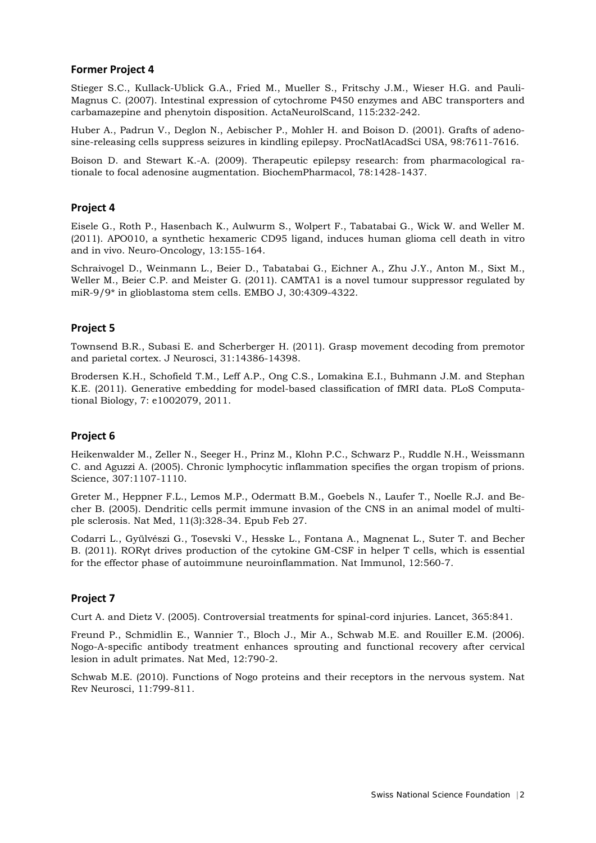#### **Former Project 4**

Stieger S.C., Kullack-Ublick G.A., Fried M., Mueller S., Fritschy J.M., Wieser H.G. and Pauli-Magnus C. (2007). Intestinal expression of cytochrome P450 enzymes and ABC transporters and carbamazepine and phenytoin disposition. ActaNeurolScand, 115:232-242.

Huber A., Padrun V., Deglon N., Aebischer P., Mohler H. and Boison D. (2001). Grafts of adenosine-releasing cells suppress seizures in kindling epilepsy. ProcNatlAcadSci USA, 98:7611-7616.

Boison D. and Stewart K.-A. (2009). Therapeutic epilepsy research: from pharmacological rationale to focal adenosine augmentation. BiochemPharmacol, 78:1428-1437.

#### **Project 4**

Eisele G., Roth P., Hasenbach K., Aulwurm S., Wolpert F., Tabatabai G., Wick W. and Weller M. (2011). APO010, a synthetic hexameric CD95 ligand, induces human glioma cell death in vitro and in vivo. Neuro-Oncology, 13:155-164.

Schraivogel D., Weinmann L., Beier D., Tabatabai G., Eichner A., Zhu J.Y., Anton M., Sixt M., Weller M., Beier C.P. and Meister G. (2011). CAMTA1 is a novel tumour suppressor regulated by miR-9/9\* in glioblastoma stem cells. EMBO J, 30:4309-4322.

# **Project 5**

Townsend B.R., Subasi E. and Scherberger H. (2011). Grasp movement decoding from premotor and parietal cortex. J Neurosci, 31:14386-14398.

Brodersen K.H., Schofield T.M., Leff A.P., Ong C.S., Lomakina E.I., Buhmann J.M. and Stephan K.E. (2011). Generative embedding for model-based classification of fMRI data. PLoS Computational Biology, 7: e1002079, 2011.

#### **Project 6**

Heikenwalder M., Zeller N., Seeger H., Prinz M., Klohn P.C., Schwarz P., Ruddle N.H., Weissmann C. and Aguzzi A. (2005). Chronic lymphocytic inflammation specifies the organ tropism of prions. Science, 307:1107-1110.

Greter M., Heppner F.L., Lemos M.P., Odermatt B.M., Goebels N., Laufer T., Noelle R.J. and Becher B. (2005). Dendritic cells permit immune invasion of the CNS in an animal model of multiple sclerosis. Nat Med, 11(3):328-34. Epub Feb 27.

Codarri L., Gyülvészi G., Tosevski V., Hesske L., Fontana A., Magnenat L., Suter T. and Becher B. (2011). RORγt drives production of the cytokine GM-CSF in helper T cells, which is essential for the effector phase of autoimmune neuroinflammation. Nat Immunol, 12:560-7.

# **Project 7**

Curt A. and Dietz V. (2005). Controversial treatments for spinal-cord injuries. Lancet, 365:841.

Freund P., Schmidlin E., Wannier T., Bloch J., Mir A., Schwab M.E. and Rouiller E.M. (2006). Nogo-A-specific antibody treatment enhances sprouting and functional recovery after cervical lesion in adult primates. Nat Med, 12:790-2.

Schwab M.E. (2010). Functions of Nogo proteins and their receptors in the nervous system. Nat Rev Neurosci, 11:799-811.